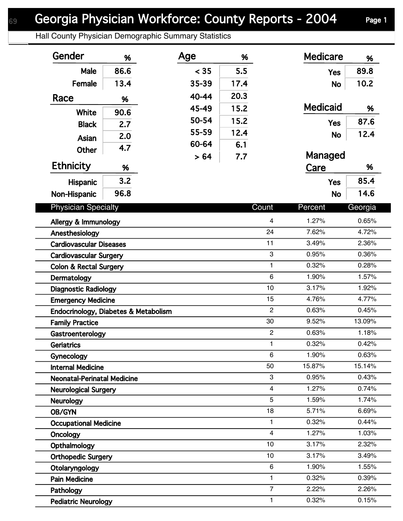## Georgia Physician Workforce: County Reports - 2004 Page 1

Hall County Physician Demographic Summary Statistics

| Gender                               | %    | Age   | %    |                | <b>Medicare</b> | %       |
|--------------------------------------|------|-------|------|----------------|-----------------|---------|
| Male                                 | 86.6 | < 35  | 5.5  |                | <b>Yes</b>      | 89.8    |
| Female                               | 13.4 | 35-39 | 17.4 |                | <b>No</b>       | 10.2    |
| Race                                 | %    | 40-44 | 20.3 |                |                 |         |
|                                      |      | 45-49 | 15.2 |                | <b>Medicaid</b> | %       |
| White                                | 90.6 | 50-54 | 15.2 |                |                 | 87.6    |
| <b>Black</b>                         | 2.7  | 55-59 | 12.4 |                | <b>Yes</b>      |         |
| Asian                                | 2.0  | 60-64 | 6.1  |                | <b>No</b>       | 12.4    |
| <b>Other</b>                         | 4.7  |       | 7.7  |                | Managed         |         |
| <b>Ethnicity</b>                     | %    | > 64  |      |                | Care            | %       |
| Hispanic                             | 3.2  |       |      |                | <b>Yes</b>      | 85.4    |
|                                      | 96.8 |       |      |                | <b>No</b>       | 14.6    |
| Non-Hispanic                         |      |       |      |                |                 |         |
| <b>Physician Specialty</b>           |      |       |      | Count          | Percent         | Georgia |
| Allergy & Immunology                 |      |       |      | 4              | 1.27%           | 0.65%   |
| Anesthesiology                       |      |       |      | 24             | 7.62%           | 4.72%   |
| <b>Cardiovascular Diseases</b>       |      |       |      | 11             | 3.49%           | 2.36%   |
| <b>Cardiovascular Surgery</b>        |      |       |      | 3              | 0.95%           | 0.36%   |
| <b>Colon &amp; Rectal Surgery</b>    |      |       |      | $\mathbf{1}$   | 0.32%           | 0.28%   |
| Dermatology                          |      |       |      | $6\phantom{1}$ | 1.90%           | 1.57%   |
| <b>Diagnostic Radiology</b>          |      |       |      | 10             | 3.17%           | 1.92%   |
| <b>Emergency Medicine</b>            |      |       |      | 15             | 4.76%           | 4.77%   |
| Endocrinology, Diabetes & Metabolism |      |       |      | $\overline{2}$ | 0.63%           | 0.45%   |
| <b>Family Practice</b>               |      |       |      | 30             | 9.52%           | 13.09%  |
| Gastroenterology                     |      |       |      | $\overline{c}$ | 0.63%           | 1.18%   |
| Geriatrics                           |      |       |      | 1              | 0.32%           | 0.42%   |
| Gynecology                           |      |       |      | 6              | 1.90%           | 0.63%   |
| <b>Internal Medicine</b>             |      |       |      | 50             | 15.87%          | 15.14%  |
| <b>Neonatal-Perinatal Medicine</b>   |      |       |      | 3              | 0.95%           | 0.43%   |
| <b>Neurological Surgery</b>          |      |       |      | $\overline{4}$ | 1.27%           | 0.74%   |
| Neurology                            |      |       |      | 5              | 1.59%           | 1.74%   |
| OB/GYN                               |      |       |      | 18             | 5.71%           | 6.69%   |
| <b>Occupational Medicine</b>         |      |       |      | 1              | 0.32%           | 0.44%   |
| Oncology                             |      |       |      | $\overline{4}$ | 1.27%           | 1.03%   |
| Opthalmology                         |      |       |      | 10             | 3.17%           | 2.32%   |
| <b>Orthopedic Surgery</b>            |      |       |      | 10             | 3.17%           | 3.49%   |
| Otolaryngology                       |      |       |      | $\,6$          | 1.90%           | 1.55%   |
| <b>Pain Medicine</b>                 |      |       |      | 1              | 0.32%           | 0.39%   |
| Pathology                            |      |       |      | $\overline{7}$ | 2.22%           | 2.26%   |
| <b>Pediatric Neurology</b>           |      |       |      | 1              | 0.32%           | 0.15%   |